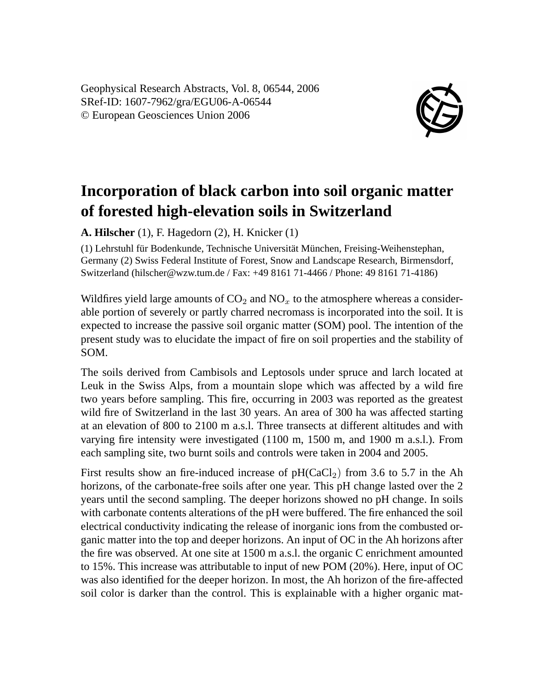Geophysical Research Abstracts, Vol. 8, 06544, 2006 SRef-ID: 1607-7962/gra/EGU06-A-06544 © European Geosciences Union 2006



## **Incorporation of black carbon into soil organic matter of forested high-elevation soils in Switzerland**

**A. Hilscher** (1), F. Hagedorn (2), H. Knicker (1)

(1) Lehrstuhl für Bodenkunde, Technische Universität München, Freising-Weihenstephan, Germany (2) Swiss Federal Institute of Forest, Snow and Landscape Research, Birmensdorf, Switzerland (hilscher@wzw.tum.de / Fax: +49 8161 71-4466 / Phone: 49 8161 71-4186)

Wildfires yield large amounts of  $CO<sub>2</sub>$  and  $NO<sub>x</sub>$  to the atmosphere whereas a considerable portion of severely or partly charred necromass is incorporated into the soil. It is expected to increase the passive soil organic matter (SOM) pool. The intention of the present study was to elucidate the impact of fire on soil properties and the stability of SOM.

The soils derived from Cambisols and Leptosols under spruce and larch located at Leuk in the Swiss Alps, from a mountain slope which was affected by a wild fire two years before sampling. This fire, occurring in 2003 was reported as the greatest wild fire of Switzerland in the last 30 years. An area of 300 ha was affected starting at an elevation of 800 to 2100 m a.s.l. Three transects at different altitudes and with varying fire intensity were investigated (1100 m, 1500 m, and 1900 m a.s.l.). From each sampling site, two burnt soils and controls were taken in 2004 and 2005.

First results show an fire-induced increase of  $pH(CaCl<sub>2</sub>)$  from 3.6 to 5.7 in the Ah horizons, of the carbonate-free soils after one year. This pH change lasted over the 2 years until the second sampling. The deeper horizons showed no pH change. In soils with carbonate contents alterations of the pH were buffered. The fire enhanced the soil electrical conductivity indicating the release of inorganic ions from the combusted organic matter into the top and deeper horizons. An input of OC in the Ah horizons after the fire was observed. At one site at 1500 m a.s.l. the organic C enrichment amounted to 15%. This increase was attributable to input of new POM (20%). Here, input of OC was also identified for the deeper horizon. In most, the Ah horizon of the fire-affected soil color is darker than the control. This is explainable with a higher organic mat